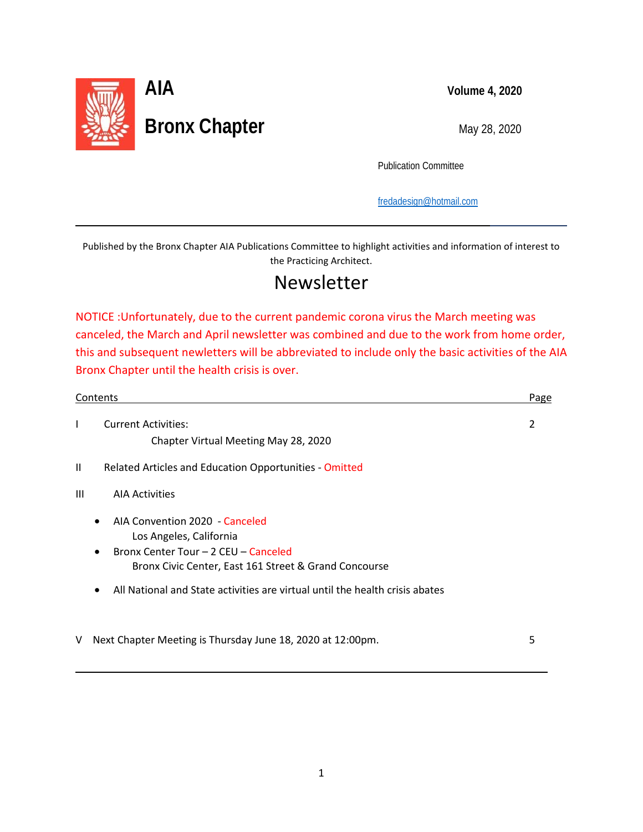

l

L

Publication Committee

[fredadesign@hotmail.com](mailto:fredadesign@hotmail.com)

Published by the Bronx Chapter AIA Publications Committee to highlight activities and information of interest to the Practicing Architect.

# Newsletter

NOTICE :Unfortunately, due to the current pandemic corona virus the March meeting was canceled, the March and April newsletter was combined and due to the work from home order, this and subsequent newletters will be abbreviated to include only the basic activities of the AIA Bronx Chapter until the health crisis is over.

|                | Contents                                                                                                                                                                                                                                   |   |
|----------------|--------------------------------------------------------------------------------------------------------------------------------------------------------------------------------------------------------------------------------------------|---|
| I              | <b>Current Activities:</b><br>Chapter Virtual Meeting May 28, 2020                                                                                                                                                                         | 2 |
| $\mathbf{H}$   | Related Articles and Education Opportunities - Omitted                                                                                                                                                                                     |   |
| $\mathbf{III}$ | <b>AIA Activities</b>                                                                                                                                                                                                                      |   |
|                | AIA Convention 2020 - Canceled<br>Los Angeles, California<br>Bronx Center Tour - 2 CEU - Canceled<br>Bronx Civic Center, East 161 Street & Grand Concourse<br>All National and State activities are virtual until the health crisis abates |   |
| V              | Next Chapter Meeting is Thursday June 18, 2020 at 12:00pm.                                                                                                                                                                                 | 5 |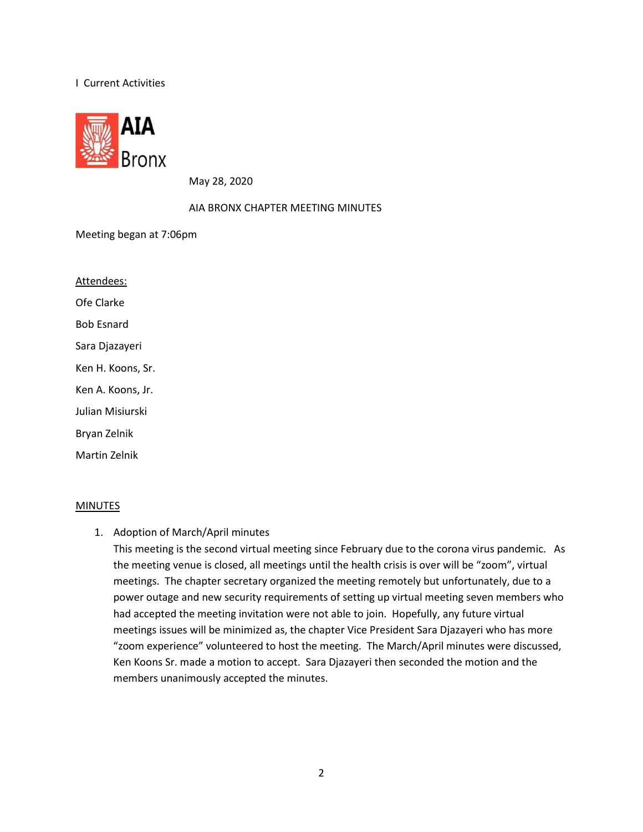#### I Current Activities



May 28, 2020

#### AIA BRONX CHAPTER MEETING MINUTES

Meeting began at 7:06pm

Ofe Clarke Attendees: Bob Esnard Sara Djazayeri Ken H. Koons, Sr. Ken A. Koons, Jr. Julian Misiurski Bryan Zelnik Martin Zelnik

#### **MINUTES**

1. Adoption of March/April minutes

This meeting is the second virtual meeting since February due to the corona virus pandemic. As the meeting venue is closed, all meetings until the health crisis is over will be "zoom", virtual meetings. The chapter secretary organized the meeting remotely but unfortunately, due to a power outage and new security requirements of setting up virtual meeting seven members who had accepted the meeting invitation were not able to join. Hopefully, any future virtual meetings issues will be minimized as, the chapter Vice President Sara Djazayeri who has more "zoom experience" volunteered to host the meeting. The March/April minutes were discussed, Ken Koons Sr. made a motion to accept. Sara Djazayeri then seconded the motion and the members unanimously accepted the minutes.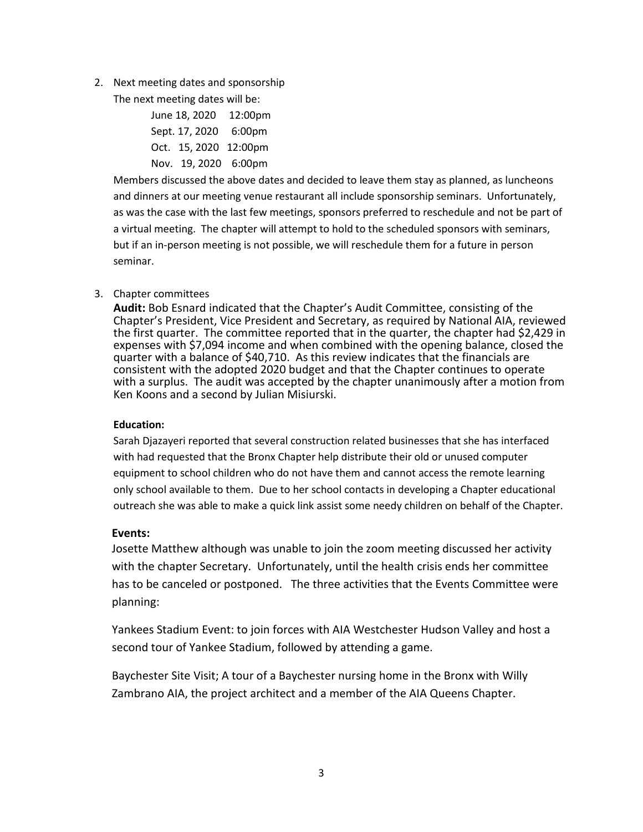2. Next meeting dates and sponsorship

The next meeting dates will be:

| June 18, 2020         | $12:00 \text{pm}$ |
|-----------------------|-------------------|
| Sept. 17, 2020 6:00pm |                   |
| Oct. 15, 2020 12:00pm |                   |
| Nov. 19, 2020 6:00pm  |                   |

Members discussed the above dates and decided to leave them stay as planned, as luncheons and dinners at our meeting venue restaurant all include sponsorship seminars. Unfortunately, as was the case with the last few meetings, sponsors preferred to reschedule and not be part of a virtual meeting. The chapter will attempt to hold to the scheduled sponsors with seminars, but if an in-person meeting is not possible, we will reschedule them for a future in person seminar.

#### 3. Chapter committees

**Audit:** Bob Esnard indicated that the Chapter's Audit Committee, consisting of the Chapter's President, Vice President and Secretary, as required by National AIA, reviewed the first quarter. The committee reported that in the quarter, the chapter had \$2,429 in expenses with \$7,094 income and when combined with the opening balance, closed the quarter with a balance of \$40,710. As this review indicates that the financials are consistent with the adopted 2020 budget and that the Chapter continues to operate with a surplus. The audit was accepted by the chapter unanimously after a motion from Ken Koons and a second by Julian Misiurski.

#### **Education:**

Sarah Djazayeri reported that several construction related businesses that she has interfaced with had requested that the Bronx Chapter help distribute their old or unused computer equipment to school children who do not have them and cannot access the remote learning only school available to them. Due to her school contacts in developing a Chapter educational outreach she was able to make a quick link assist some needy children on behalf of the Chapter.

#### **Events:**

Josette Matthew although was unable to join the zoom meeting discussed her activity with the chapter Secretary. Unfortunately, until the health crisis ends her committee has to be canceled or postponed. The three activities that the Events Committee were planning:

Yankees Stadium Event: to join forces with AIA Westchester Hudson Valley and host a second tour of Yankee Stadium, followed by attending a game.

Baychester Site Visit; A tour of a Baychester nursing home in the Bronx with Willy Zambrano AIA, the project architect and a member of the AIA Queens Chapter.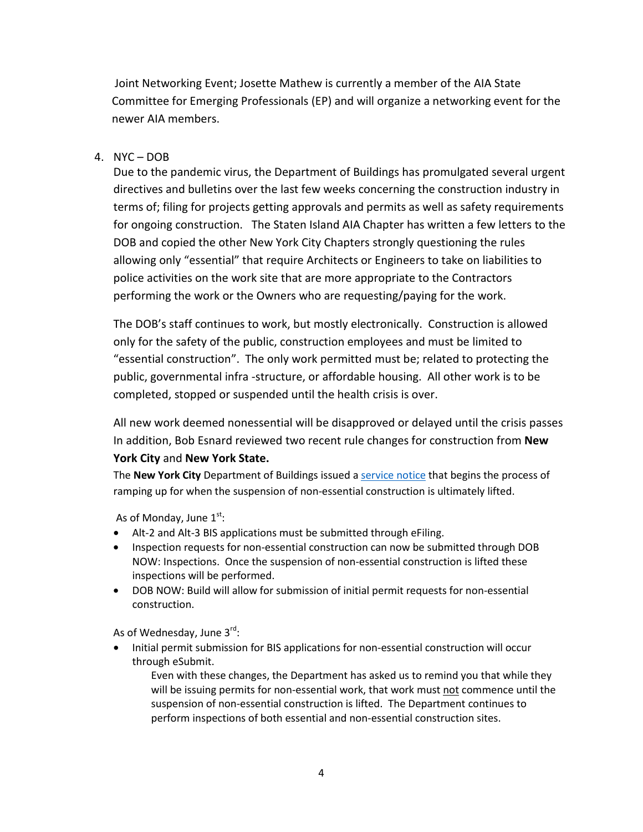Joint Networking Event; Josette Mathew is currently a member of the AIA State Committee for Emerging Professionals (EP) and will organize a networking event for the newer AIA members.

## 4. NYC – DOB

Due to the pandemic virus, the Department of Buildings has promulgated several urgent directives and bulletins over the last few weeks concerning the construction industry in terms of; filing for projects getting approvals and permits as well as safety requirements for ongoing construction. The Staten Island AIA Chapter has written a few letters to the DOB and copied the other New York City Chapters strongly questioning the rules allowing only "essential" that require Architects or Engineers to take on liabilities to police activities on the work site that are more appropriate to the Contractors performing the work or the Owners who are requesting/paying for the work.

The DOB's staff continues to work, but mostly electronically. Construction is allowed only for the safety of the public, construction employees and must be limited to "essential construction". The only work permitted must be; related to protecting the public, governmental infra -structure, or affordable housing. All other work is to be completed, stopped or suspended until the health crisis is over.

All new work deemed nonessential will be disapproved or delayed until the crisis passes In addition, Bob Esnard reviewed two recent rule changes for construction from **New York City** and **New York State.**

The **New York City** Department of Buildings issued a [service notice](https://www1.nyc.gov/assets/buildings/pdf/mandatory_Alt2t3_submissions_sn.pdf) that begins the process of ramping up for when the suspension of non-essential construction is ultimately lifted.

As of Monday, June  $1^{st}$ :

- Alt-2 and Alt-3 BIS applications must be submitted through eFiling.
- Inspection requests for non-essential construction can now be submitted through DOB NOW: Inspections. Once the suspension of non-essential construction is lifted these inspections will be performed.
- DOB NOW: Build will allow for submission of initial permit requests for non-essential construction.

As of Wednesday, June 3<sup>rd</sup>:

• Initial permit submission for BIS applications for non-essential construction will occur through eSubmit.

Even with these changes, the Department has asked us to remind you that while they will be issuing permits for non-essential work, that work must not commence until the suspension of non-essential construction is lifted. The Department continues to perform inspections of both essential and non-essential construction sites.